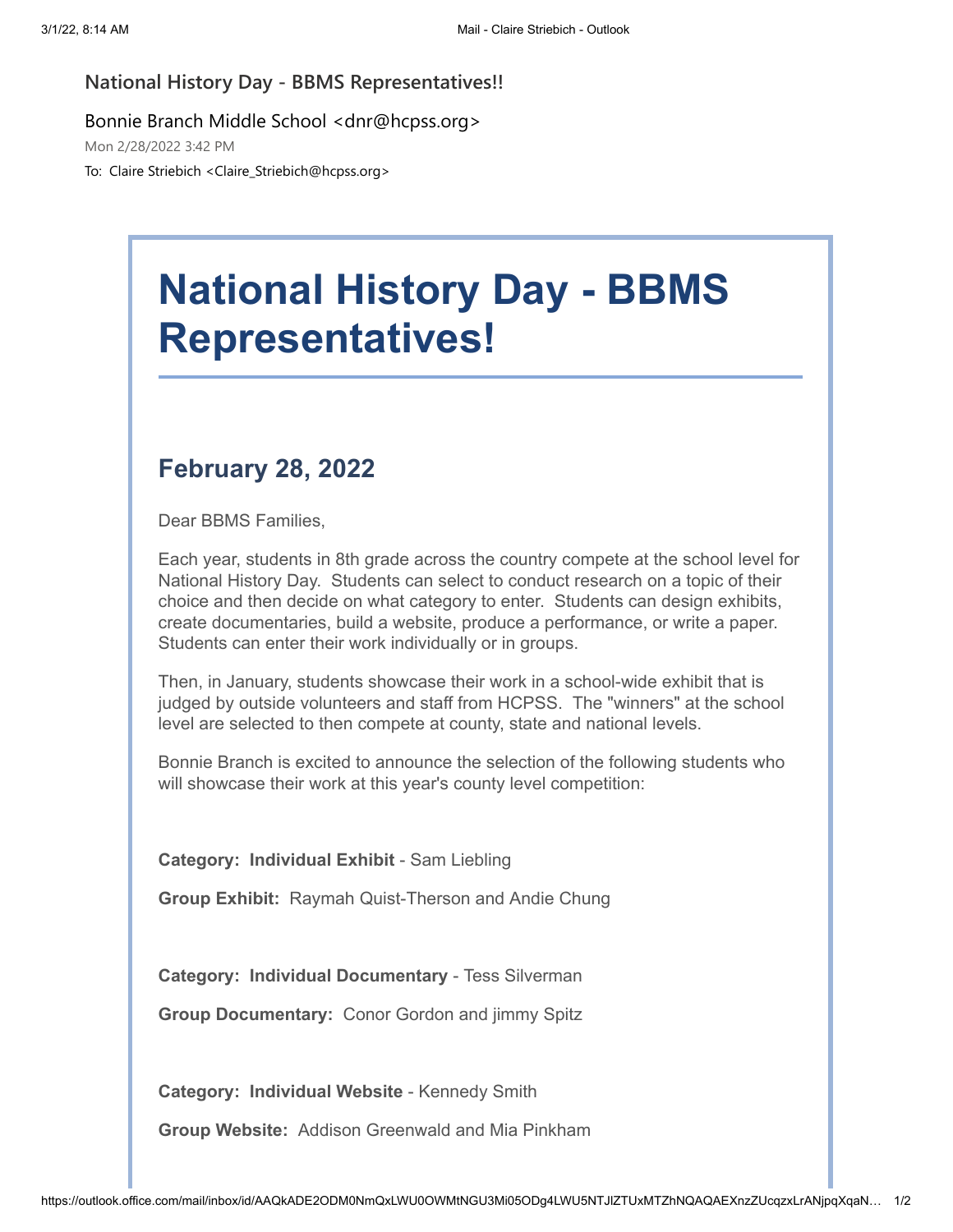## **National History Day - BBMS Representatives!!**

Bonnie Branch Middle School <dnr@hcpss.org>

Mon 2/28/2022 3:42 PM

To: Claire Striebich <Claire\_Striebich@hcpss.org>

## **National History Day - BBMS Representatives!**

## **February 28, 2022**

Dear BBMS Families,

Each year, students in 8th grade across the country compete at the school level for National History Day. Students can select to conduct research on a topic of their choice and then decide on what category to enter. Students can design exhibits, create documentaries, build a website, produce a performance, or write a paper. Students can enter their work individually or in groups.

Then, in January, students showcase their work in a school-wide exhibit that is judged by outside volunteers and staff from HCPSS. The "winners" at the school level are selected to then compete at county, state and national levels.

Bonnie Branch is excited to announce the selection of the following students who will showcase their work at this year's county level competition:

**Category: Individual Exhibit** - Sam Liebling

**Group Exhibit:** Raymah Quist-Therson and Andie Chung

**Category: Individual Documentary** - Tess Silverman

**Group Documentary:** Conor Gordon and jimmy Spitz

**Category: Individual Website** - Kennedy Smith

**Group Website:** Addison Greenwald and Mia Pinkham